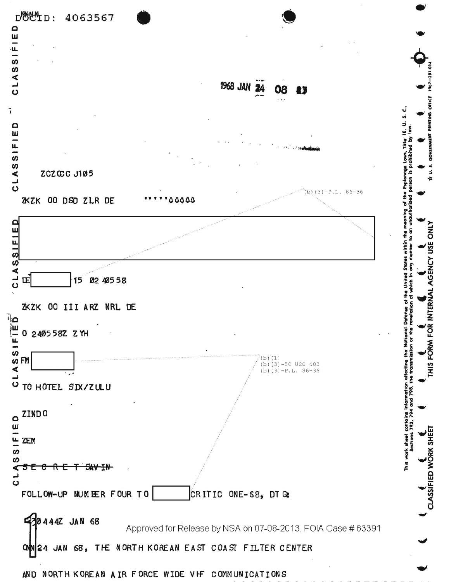